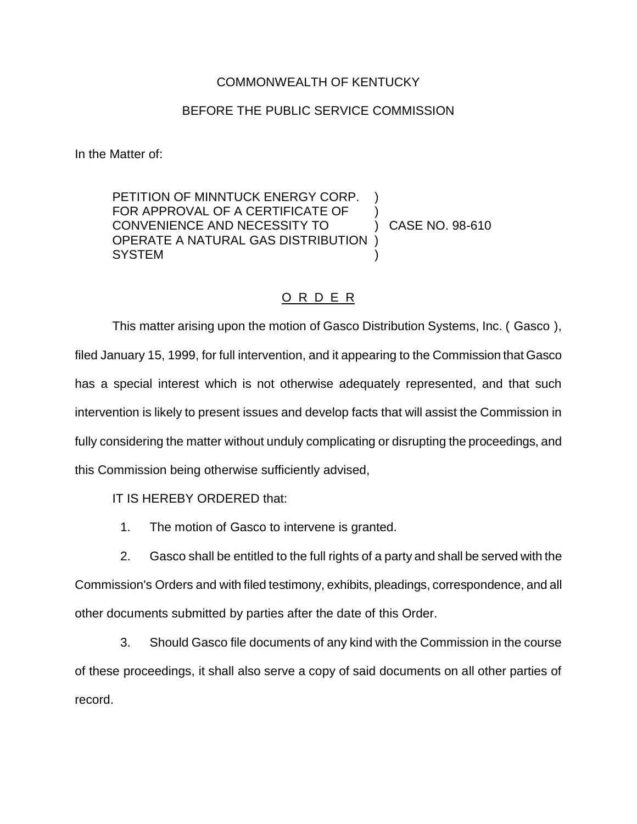## COMMONWEALTH OF KENTUCKY

## BEFORE THE PUBLIC SERVICE COMMISSION

In the Matter of:

PETITION OF MINNTUCK ENERGY CORP. FOR APPROVAL OF A CERTIFICATE OF ) CONVENIENCE AND NECESSITY TO ) CASE NO. 98-610 OPERATE A NATURAL GAS DISTRIBUTION ) **SYSTEM** 

## O R D E R

This matter arising upon the motion of Gasco Distribution Systems, Inc. ( Gasco ), filed January 15, 1999, for full intervention, and it appearing to the Commission that Gasco has a special interest which is not otherwise adequately represented, and that such intervention is likely to present issues and develop facts that will assist the Commission in fully considering the matter without unduly complicating or disrupting the proceedings, and this Commission being otherwise sufficiently advised,

IT IS HEREBY ORDERED that:

1. The motion of Gasco to intervene is granted.

2. Gasco shall be entitled to the full rights of a party and shall be served with the Commission's Orders and with filed testimony, exhibits, pleadings, correspondence, and all other documents submitted by parties after the date of this Order.

3. Should Gasco file documents of any kind with the Commission in the course of these proceedings, it shall also serve a copy of said documents on all other parties of record.